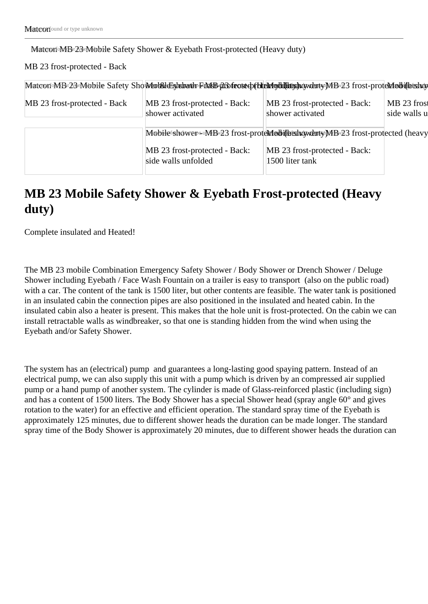Matcon MB 23 Mobile Safety Shower & Eyebath Frost-protected (Heavy duty)

MB 23 frost-protected - Back

|                              | MatcorroMB 23 Mobile Safety Sho Mathid Eshdowth FindE 20 frot to the Medillity howduty MB 23 frost-proteMedillitshow |                                                   |                             |
|------------------------------|----------------------------------------------------------------------------------------------------------------------|---------------------------------------------------|-----------------------------|
| MB 23 frost-protected - Back | MB 23 frost-protected - Back:<br>shower activated                                                                    | MB 23 frost-protected - Back:<br>shower activated | MB 23 frost<br>side walls u |
|                              | Mobilefshowere MBv23 frost-protexted iths how tuty MBv23 frost-protected (heavy                                      |                                                   |                             |
|                              | MB 23 frost-protected - Back:<br>side walls unfolded                                                                 | MB 23 frost-protected - Back:<br>1500 liter tank  |                             |

# **MB 23 Mobile Safety Shower & Eyebath Frost-protected (Heavy duty)**

Complete insulated and Heated!

The MB 23 mobile Combination Emergency Safety Shower / Body Shower or Drench Shower / Deluge Shower including Eyebath / Face Wash Fountain on a trailer is easy to transport (also on the public road) with a car. The content of the tank is 1500 liter, but other contents are feasible. The water tank is positioned in an insulated cabin the connection pipes are also positioned in the insulated and heated cabin. In the insulated cabin also a heater is present. This makes that the hole unit is frost-protected. On the cabin we can install retractable walls as windbreaker, so that one is standing hidden from the wind when using the Eyebath and/or Safety Shower.

The system has an (electrical) pump and guarantees a long-lasting good spaying pattern. Instead of an electrical pump, we can also supply this unit with a pump which is driven by an compressed air supplied pump or a hand pump of another system. The cylinder is made of Glass-reinforced plastic (including sign) and has a content of 1500 liters. The Body Shower has a special Shower head (spray angle 60° and gives rotation to the water) for an effective and efficient operation. The standard spray time of the Eyebath is approximately 125 minutes, due to different shower heads the duration can be made longer. The standard spray time of the Body Shower is approximately 20 minutes, due to different shower heads the duration can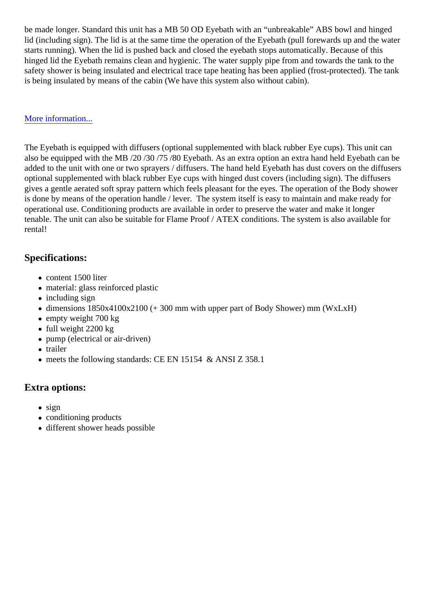be made longer. Standard this unit has a MB 50 OD Eyebath with an "unbreakable" ABS bowl and hinged lid (including sign). The lid is at the same time the operation of the Eyebath (pull forewards up and the wat starts running). When the lid is pushed back and closed the eyebath stops automatically. Because of this hinged lid the Eyebath remains clean and hygienic. The water supply pipe from and towards the tank to the safety shower is being insulated and electrical trace tape heating has been applied (frost-protected). The t is being insulated by means of the cabin (We have this system also without cabin).

#### [More information..](https://metlchek.com/printpdf/1095#).

The Eyebath is equipped with diffusers (optional supplemented with black rubber Eye cups). This unit can also be equipped with the MB /20 /30 /75 /80 Eyebath. As an extra option an extra hand held Eyebath can be added to the unit with one or two sprayers / diffusers. The hand held Eyebath has dust covers on the diffust optional supplemented with black rubber Eye cups with hinged dust covers (including sign). The diffusers gives a gentle aerated soft spray pattern which feels pleasant for the eyes. The operation of the Body show is done by means of the operation handle / lever. The system itself is easy to maintain and make ready for operational use. Conditioning products are available in order to preserve the water and make it longer tenable. The unit can also be suitable for Flame Proof / ATEX conditions. The system is also available for rental!

## Specifications:

- content 1500 liter
- material: glass reinforced plastic
- including sign
- dimensions 1850x4100x2100 (+ 300 mm with upper part of Body Shower) mm (WxLxH)
- empty weight 700 kg
- full weight 2200 kg
- pump (electrical or air-driven)
- trailer
- meets the following standards: CE EN 15154 & ANSI Z 358.1

## Extra options:

- sign
- conditioning products
- different shower heads possible